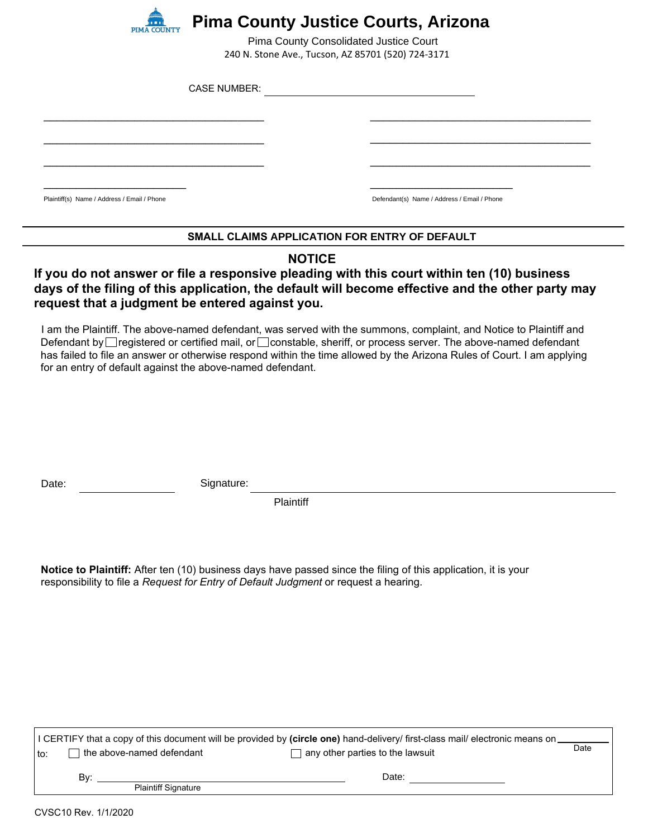

## **Pima County Justice Courts, Arizona**

240 N. Stone Ave., Tucson, AZ 85701 (520) 724-3171 Pima County Consolidated Justice Court

| <b>CASE NUMBER:</b>                         |                                             |  |
|---------------------------------------------|---------------------------------------------|--|
|                                             |                                             |  |
|                                             |                                             |  |
|                                             |                                             |  |
| Plaintiff(s) Name / Address / Email / Phone | Defendant(s) Name / Address / Email / Phone |  |

### **SMALL CLAIMS APPLICATION FOR ENTRY OF DEFAULT**

### **NOTICE**

### **If you do not answer or file a responsive pleading with this court within ten (10) business days of the filing of this application, the default will become effective and the other party may request that a judgment be entered against you.**

I am the Plaintiff. The above-named defendant, was served with the summons, complaint, and Notice to Plaintiff and Defendant by registered or certified mail, or constable, sheriff, or process server. The above-named defendant has failed to file an answer or otherwise respond within the time allowed by the Arizona Rules of Court. I am applying for an entry of default against the above-named defendant.

Date: Signature:

**Plaintiff** 

**Notice to Plaintiff:** After ten (10) business days have passed since the filing of this application, it is your responsibility to file a *Request for Entry of Default Judgment* or request a hearing.

| I CERTIFY that a copy of this document will be provided by (circle one) hand-delivery/ first-class mail/ electronic means on_ |       |      |  |  |  |
|-------------------------------------------------------------------------------------------------------------------------------|-------|------|--|--|--|
| $\Box$ the above-named defendant<br>$\Box$ any other parties to the lawsuit<br>∣ to: l                                        |       | Date |  |  |  |
| Bv:<br><b>Plaintiff Signature</b>                                                                                             | Date: |      |  |  |  |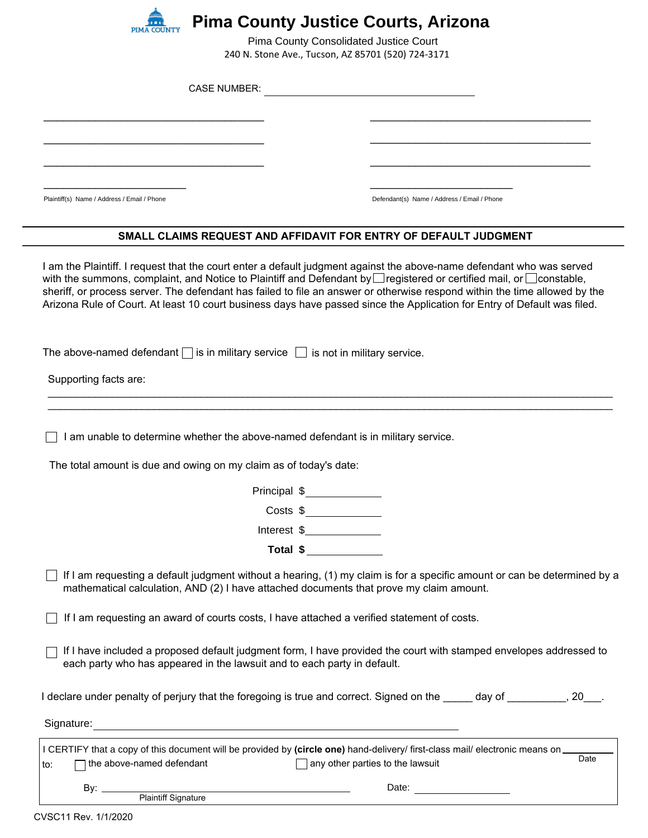

# **Pima County Justice Courts, Arizona**

240 N. Stone Ave., Tucson, AZ 85701 (520) 724-3171 Pima County Consolidated Justice Court

| <b>CASE NUMBER:</b>                                                                                                 |                                                                                                                                                                                                                                                                                                                                                                                                                                                                                                        |
|---------------------------------------------------------------------------------------------------------------------|--------------------------------------------------------------------------------------------------------------------------------------------------------------------------------------------------------------------------------------------------------------------------------------------------------------------------------------------------------------------------------------------------------------------------------------------------------------------------------------------------------|
|                                                                                                                     |                                                                                                                                                                                                                                                                                                                                                                                                                                                                                                        |
|                                                                                                                     |                                                                                                                                                                                                                                                                                                                                                                                                                                                                                                        |
|                                                                                                                     |                                                                                                                                                                                                                                                                                                                                                                                                                                                                                                        |
| Plaintiff(s) Name / Address / Email / Phone                                                                         | Defendant(s) Name / Address / Email / Phone                                                                                                                                                                                                                                                                                                                                                                                                                                                            |
|                                                                                                                     | SMALL CLAIMS REQUEST AND AFFIDAVIT FOR ENTRY OF DEFAULT JUDGMENT                                                                                                                                                                                                                                                                                                                                                                                                                                       |
|                                                                                                                     | I am the Plaintiff. I request that the court enter a default judgment against the above-name defendant who was served<br>with the summons, complaint, and Notice to Plaintiff and Defendant by Iregistered or certified mail, or Iconstable,<br>sheriff, or process server. The defendant has failed to file an answer or otherwise respond within the time allowed by the<br>Arizona Rule of Court. At least 10 court business days have passed since the Application for Entry of Default was filed. |
| The above-named defendant $\Box$ is in military service $\Box$ is not in military service.<br>Supporting facts are: |                                                                                                                                                                                                                                                                                                                                                                                                                                                                                                        |
| I am unable to determine whether the above-named defendant is in military service.                                  |                                                                                                                                                                                                                                                                                                                                                                                                                                                                                                        |
| The total amount is due and owing on my claim as of today's date:                                                   |                                                                                                                                                                                                                                                                                                                                                                                                                                                                                                        |
|                                                                                                                     | Principal \$______________                                                                                                                                                                                                                                                                                                                                                                                                                                                                             |
|                                                                                                                     | Costs \$                                                                                                                                                                                                                                                                                                                                                                                                                                                                                               |
| Interest \$                                                                                                         |                                                                                                                                                                                                                                                                                                                                                                                                                                                                                                        |
|                                                                                                                     | Total \$                                                                                                                                                                                                                                                                                                                                                                                                                                                                                               |
| mathematical calculation, AND (2) I have attached documents that prove my claim amount.                             | If I am requesting a default judgment without a hearing, (1) my claim is for a specific amount or can be determined by a                                                                                                                                                                                                                                                                                                                                                                               |
| If I am requesting an award of courts costs, I have attached a verified statement of costs.                         |                                                                                                                                                                                                                                                                                                                                                                                                                                                                                                        |
| each party who has appeared in the lawsuit and to each party in default.                                            | If I have included a proposed default judgment form, I have provided the court with stamped envelopes addressed to                                                                                                                                                                                                                                                                                                                                                                                     |
|                                                                                                                     | I declare under penalty of perjury that the foregoing is true and correct. Signed on the entitled and or entit                                                                                                                                                                                                                                                                                                                                                                                         |
|                                                                                                                     |                                                                                                                                                                                                                                                                                                                                                                                                                                                                                                        |
|                                                                                                                     |                                                                                                                                                                                                                                                                                                                                                                                                                                                                                                        |

|       |                                   | H CERTIFY that a copy of this document will be provided by (circle one) hand-delivery/ first-class mail/ electronic means on |      |
|-------|-----------------------------------|------------------------------------------------------------------------------------------------------------------------------|------|
| l to: | ∃ the above-named defendant       | any other parties to the lawsuit                                                                                             | Date |
|       | Bv:<br><b>Plaintiff Signature</b> | Date:                                                                                                                        |      |